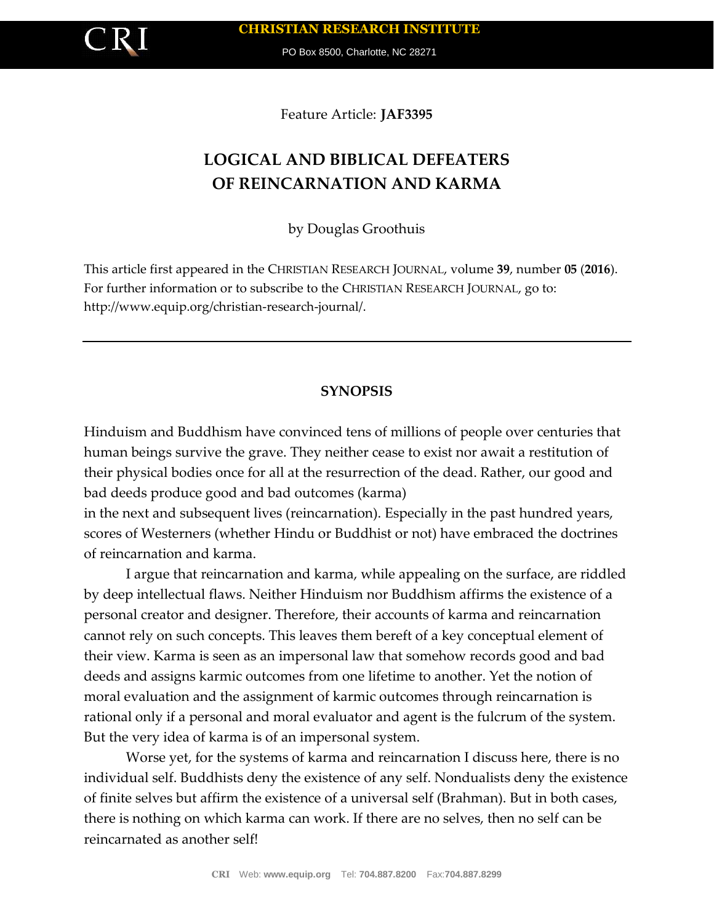PO Box 8500, Charlotte, NC 28271

Feature Article: **JAF3395**

# **LOGICAL AND BIBLICAL DEFEATERS OF REINCARNATION AND KARMA**

by Douglas Groothuis

This article first appeared in the CHRISTIAN RESEARCH JOURNAL, volume **39**, number **05** (**2016**). For further information or to subscribe to the CHRISTIAN RESEARCH JOURNAL, go to: http://www.equip.org/christian-research-journal/.

## **SYNOPSIS**

Hinduism and Buddhism have convinced tens of millions of people over centuries that human beings survive the grave. They neither cease to exist nor await a restitution of their physical bodies once for all at the resurrection of the dead. Rather, our good and bad deeds produce good and bad outcomes (karma)

in the next and subsequent lives (reincarnation). Especially in the past hundred years, scores of Westerners (whether Hindu or Buddhist or not) have embraced the doctrines of reincarnation and karma.

I argue that reincarnation and karma, while appealing on the surface, are riddled by deep intellectual flaws. Neither Hinduism nor Buddhism affirms the existence of a personal creator and designer. Therefore, their accounts of karma and reincarnation cannot rely on such concepts. This leaves them bereft of a key conceptual element of their view. Karma is seen as an impersonal law that somehow records good and bad deeds and assigns karmic outcomes from one lifetime to another. Yet the notion of moral evaluation and the assignment of karmic outcomes through reincarnation is rational only if a personal and moral evaluator and agent is the fulcrum of the system. But the very idea of karma is of an impersonal system.

Worse yet, for the systems of karma and reincarnation I discuss here, there is no individual self. Buddhists deny the existence of any self. Nondualists deny the existence of finite selves but affirm the existence of a universal self (Brahman). But in both cases, there is nothing on which karma can work. If there are no selves, then no self can be reincarnated as another self!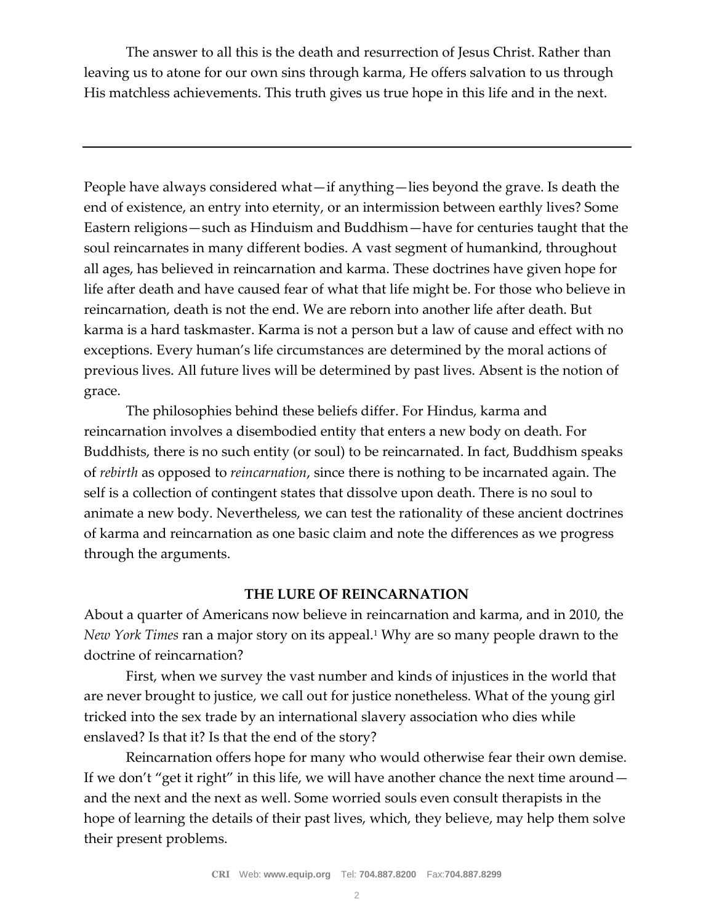The answer to all this is the death and resurrection of Jesus Christ. Rather than leaving us to atone for our own sins through karma, He offers salvation to us through His matchless achievements. This truth gives us true hope in this life and in the next.

People have always considered what—if anything—lies beyond the grave. Is death the end of existence, an entry into eternity, or an intermission between earthly lives? Some Eastern religions—such as Hinduism and Buddhism—have for centuries taught that the soul reincarnates in many different bodies. A vast segment of humankind, throughout all ages, has believed in reincarnation and karma. These doctrines have given hope for life after death and have caused fear of what that life might be. For those who believe in reincarnation, death is not the end. We are reborn into another life after death. But karma is a hard taskmaster. Karma is not a person but a law of cause and effect with no exceptions. Every human's life circumstances are determined by the moral actions of previous lives. All future lives will be determined by past lives. Absent is the notion of grace.

The philosophies behind these beliefs differ. For Hindus, karma and reincarnation involves a disembodied entity that enters a new body on death. For Buddhists, there is no such entity (or soul) to be reincarnated. In fact, Buddhism speaks of *rebirth* as opposed to *reincarnation*, since there is nothing to be incarnated again. The self is a collection of contingent states that dissolve upon death. There is no soul to animate a new body. Nevertheless, we can test the rationality of these ancient doctrines of karma and reincarnation as one basic claim and note the differences as we progress through the arguments.

### **THE LURE OF REINCARNATION**

About a quarter of Americans now believe in reincarnation and karma, and in 2010, the *New York Times* ran a major story on its appeal.<sup>1</sup> Why are so many people drawn to the doctrine of reincarnation?

First, when we survey the vast number and kinds of injustices in the world that are never brought to justice, we call out for justice nonetheless. What of the young girl tricked into the sex trade by an international slavery association who dies while enslaved? Is that it? Is that the end of the story?

Reincarnation offers hope for many who would otherwise fear their own demise. If we don't "get it right" in this life, we will have another chance the next time around and the next and the next as well. Some worried souls even consult therapists in the hope of learning the details of their past lives, which, they believe, may help them solve their present problems.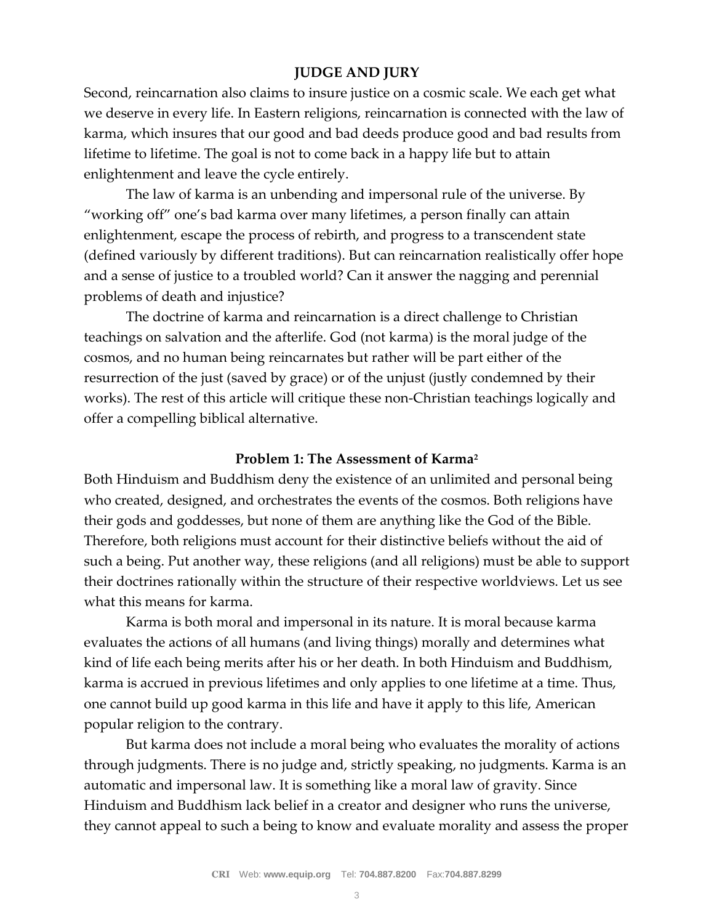## **JUDGE AND JURY**

Second, reincarnation also claims to insure justice on a cosmic scale. We each get what we deserve in every life. In Eastern religions, reincarnation is connected with the law of karma, which insures that our good and bad deeds produce good and bad results from lifetime to lifetime. The goal is not to come back in a happy life but to attain enlightenment and leave the cycle entirely.

The law of karma is an unbending and impersonal rule of the universe. By "working off" one's bad karma over many lifetimes, a person finally can attain enlightenment, escape the process of rebirth, and progress to a transcendent state (defined variously by different traditions). But can reincarnation realistically offer hope and a sense of justice to a troubled world? Can it answer the nagging and perennial problems of death and injustice?

The doctrine of karma and reincarnation is a direct challenge to Christian teachings on salvation and the afterlife. God (not karma) is the moral judge of the cosmos, and no human being reincarnates but rather will be part either of the resurrection of the just (saved by grace) or of the unjust (justly condemned by their works). The rest of this article will critique these non-Christian teachings logically and offer a compelling biblical alternative.

#### **Problem 1: The Assessment of Karma<sup>2</sup>**

Both Hinduism and Buddhism deny the existence of an unlimited and personal being who created, designed, and orchestrates the events of the cosmos. Both religions have their gods and goddesses, but none of them are anything like the God of the Bible. Therefore, both religions must account for their distinctive beliefs without the aid of such a being. Put another way, these religions (and all religions) must be able to support their doctrines rationally within the structure of their respective worldviews. Let us see what this means for karma.

Karma is both moral and impersonal in its nature. It is moral because karma evaluates the actions of all humans (and living things) morally and determines what kind of life each being merits after his or her death. In both Hinduism and Buddhism, karma is accrued in previous lifetimes and only applies to one lifetime at a time. Thus, one cannot build up good karma in this life and have it apply to this life, American popular religion to the contrary.

But karma does not include a moral being who evaluates the morality of actions through judgments. There is no judge and, strictly speaking, no judgments. Karma is an automatic and impersonal law. It is something like a moral law of gravity. Since Hinduism and Buddhism lack belief in a creator and designer who runs the universe, they cannot appeal to such a being to know and evaluate morality and assess the proper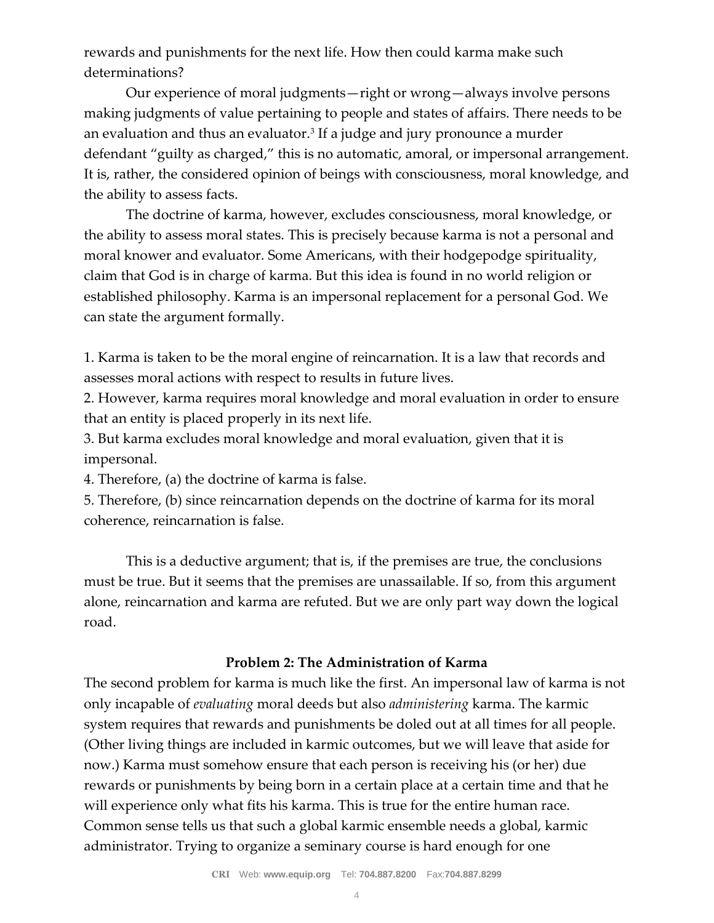rewards and punishments for the next life. How then could karma make such determinations?

Our experience of moral judgments—right or wrong—always involve persons making judgments of value pertaining to people and states of affairs. There needs to be an evaluation and thus an evaluator.<sup>3</sup> If a judge and jury pronounce a murder defendant "guilty as charged," this is no automatic, amoral, or impersonal arrangement. It is, rather, the considered opinion of beings with consciousness, moral knowledge, and the ability to assess facts.

The doctrine of karma, however, excludes consciousness, moral knowledge, or the ability to assess moral states. This is precisely because karma is not a personal and moral knower and evaluator. Some Americans, with their hodgepodge spirituality, claim that God is in charge of karma. But this idea is found in no world religion or established philosophy. Karma is an impersonal replacement for a personal God. We can state the argument formally.

1. Karma is taken to be the moral engine of reincarnation. It is a law that records and assesses moral actions with respect to results in future lives.

2. However, karma requires moral knowledge and moral evaluation in order to ensure that an entity is placed properly in its next life.

3. But karma excludes moral knowledge and moral evaluation, given that it is impersonal.

4. Therefore, (a) the doctrine of karma is false.

5. Therefore, (b) since reincarnation depends on the doctrine of karma for its moral coherence, reincarnation is false.

This is a deductive argument; that is, if the premises are true, the conclusions must be true. But it seems that the premises are unassailable. If so, from this argument alone, reincarnation and karma are refuted. But we are only part way down the logical road.

## **Problem 2: The Administration of Karma**

The second problem for karma is much like the first. An impersonal law of karma is not only incapable of *evaluating* moral deeds but also *administering* karma. The karmic system requires that rewards and punishments be doled out at all times for all people. (Other living things are included in karmic outcomes, but we will leave that aside for now.) Karma must somehow ensure that each person is receiving his (or her) due rewards or punishments by being born in a certain place at a certain time and that he will experience only what fits his karma. This is true for the entire human race. Common sense tells us that such a global karmic ensemble needs a global, karmic administrator. Trying to organize a seminary course is hard enough for one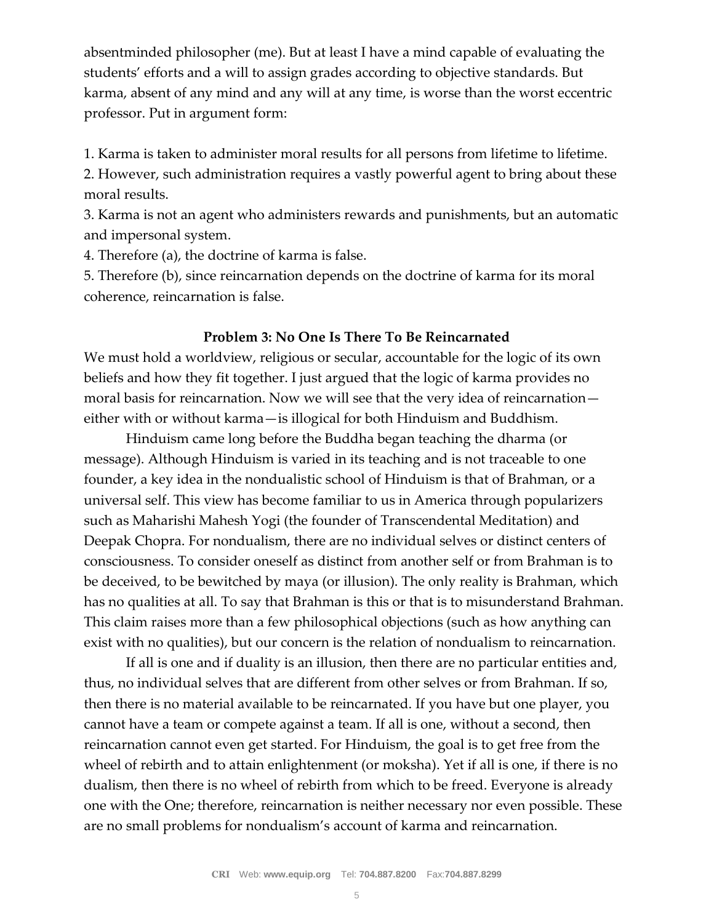absentminded philosopher (me). But at least I have a mind capable of evaluating the students' efforts and a will to assign grades according to objective standards. But karma, absent of any mind and any will at any time, is worse than the worst eccentric professor. Put in argument form:

1. Karma is taken to administer moral results for all persons from lifetime to lifetime.

2. However, such administration requires a vastly powerful agent to bring about these moral results.

3. Karma is not an agent who administers rewards and punishments, but an automatic and impersonal system.

4. Therefore (a), the doctrine of karma is false.

5. Therefore (b), since reincarnation depends on the doctrine of karma for its moral coherence, reincarnation is false.

### **Problem 3: No One Is There To Be Reincarnated**

We must hold a worldview, religious or secular, accountable for the logic of its own beliefs and how they fit together. I just argued that the logic of karma provides no moral basis for reincarnation. Now we will see that the very idea of reincarnation either with or without karma—is illogical for both Hinduism and Buddhism.

Hinduism came long before the Buddha began teaching the dharma (or message). Although Hinduism is varied in its teaching and is not traceable to one founder, a key idea in the nondualistic school of Hinduism is that of Brahman, or a universal self. This view has become familiar to us in America through popularizers such as Maharishi Mahesh Yogi (the founder of Transcendental Meditation) and Deepak Chopra. For nondualism, there are no individual selves or distinct centers of consciousness. To consider oneself as distinct from another self or from Brahman is to be deceived, to be bewitched by maya (or illusion). The only reality is Brahman, which has no qualities at all. To say that Brahman is this or that is to misunderstand Brahman. This claim raises more than a few philosophical objections (such as how anything can exist with no qualities), but our concern is the relation of nondualism to reincarnation.

If all is one and if duality is an illusion, then there are no particular entities and, thus, no individual selves that are different from other selves or from Brahman. If so, then there is no material available to be reincarnated. If you have but one player, you cannot have a team or compete against a team. If all is one, without a second, then reincarnation cannot even get started. For Hinduism, the goal is to get free from the wheel of rebirth and to attain enlightenment (or moksha). Yet if all is one, if there is no dualism, then there is no wheel of rebirth from which to be freed. Everyone is already one with the One; therefore, reincarnation is neither necessary nor even possible. These are no small problems for nondualism's account of karma and reincarnation.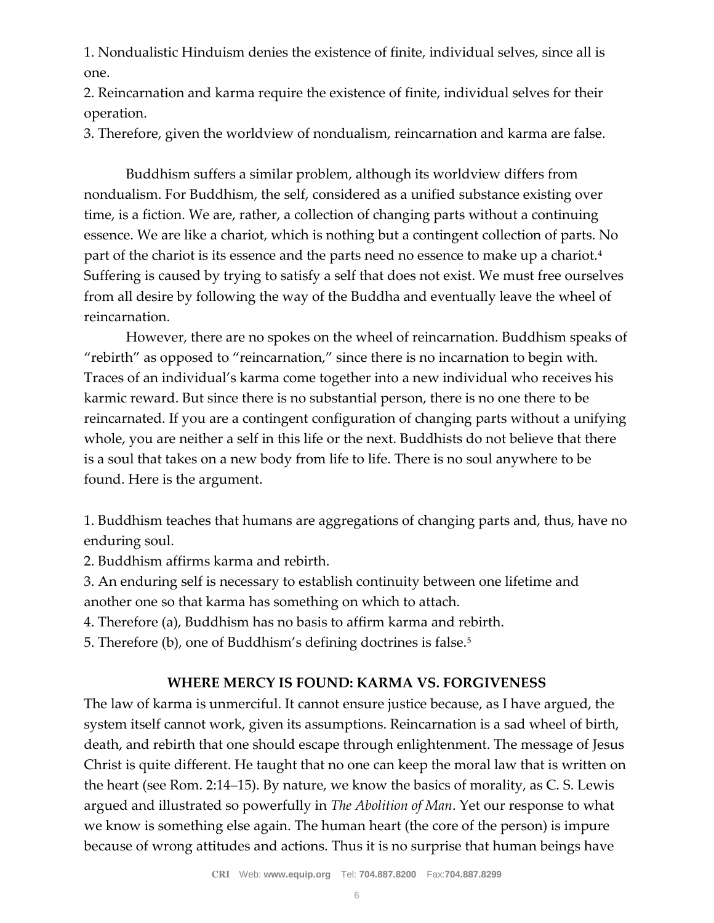1. Nondualistic Hinduism denies the existence of finite, individual selves, since all is one.

2. Reincarnation and karma require the existence of finite, individual selves for their operation.

3. Therefore, given the worldview of nondualism, reincarnation and karma are false.

Buddhism suffers a similar problem, although its worldview differs from nondualism. For Buddhism, the self, considered as a unified substance existing over time, is a fiction. We are, rather, a collection of changing parts without a continuing essence. We are like a chariot, which is nothing but a contingent collection of parts. No part of the chariot is its essence and the parts need no essence to make up a chariot.<sup>4</sup> Suffering is caused by trying to satisfy a self that does not exist. We must free ourselves from all desire by following the way of the Buddha and eventually leave the wheel of reincarnation.

However, there are no spokes on the wheel of reincarnation. Buddhism speaks of "rebirth" as opposed to "reincarnation," since there is no incarnation to begin with. Traces of an individual's karma come together into a new individual who receives his karmic reward. But since there is no substantial person, there is no one there to be reincarnated. If you are a contingent configuration of changing parts without a unifying whole, you are neither a self in this life or the next. Buddhists do not believe that there is a soul that takes on a new body from life to life. There is no soul anywhere to be found. Here is the argument.

1. Buddhism teaches that humans are aggregations of changing parts and, thus, have no enduring soul.

2. Buddhism affirms karma and rebirth.

3. An enduring self is necessary to establish continuity between one lifetime and another one so that karma has something on which to attach.

4. Therefore (a), Buddhism has no basis to affirm karma and rebirth.

5. Therefore (b), one of Buddhism's defining doctrines is false.<sup>5</sup>

## **WHERE MERCY IS FOUND: KARMA VS. FORGIVENESS**

The law of karma is unmerciful. It cannot ensure justice because, as I have argued, the system itself cannot work, given its assumptions. Reincarnation is a sad wheel of birth, death, and rebirth that one should escape through enlightenment. The message of Jesus Christ is quite different. He taught that no one can keep the moral law that is written on the heart (see Rom. 2:14–15). By nature, we know the basics of morality, as C. S. Lewis argued and illustrated so powerfully in *The Abolition of Man*. Yet our response to what we know is something else again. The human heart (the core of the person) is impure because of wrong attitudes and actions. Thus it is no surprise that human beings have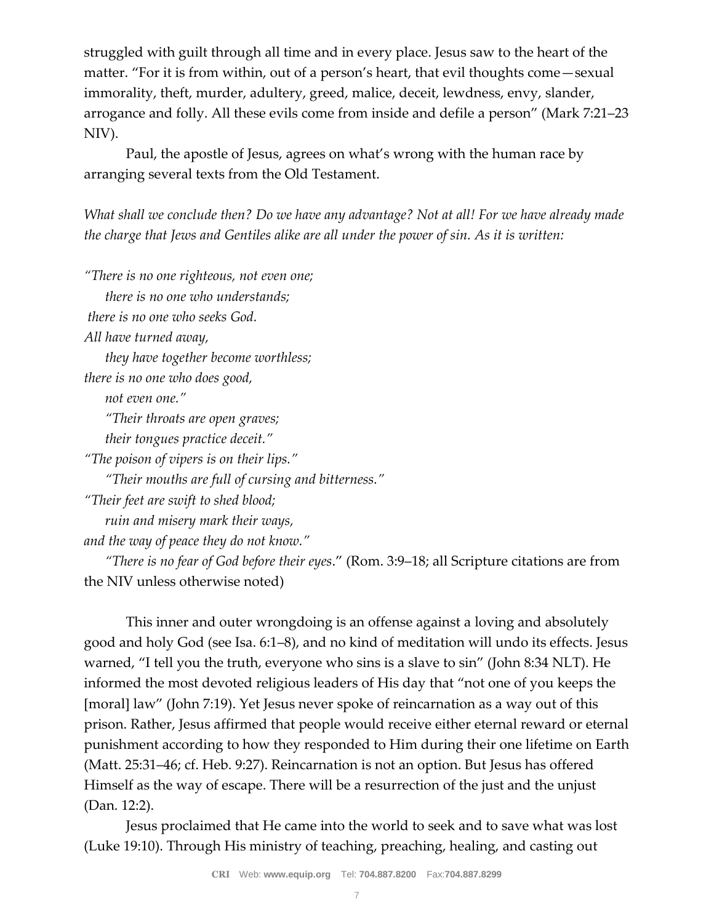struggled with guilt through all time and in every place. Jesus saw to the heart of the matter. "For it is from within, out of a person's heart, that evil thoughts come—sexual immorality, theft, murder, adultery, greed, malice, deceit, lewdness, envy, slander, arrogance and folly. All these evils come from inside and defile a person" (Mark 7:21–23 NIV).

Paul, the apostle of Jesus, agrees on what's wrong with the human race by arranging several texts from the Old Testament.

*What shall we conclude then? Do we have any advantage? Not at all! For we have already made the charge that Jews and Gentiles alike are all under the power of sin. As it is written:* 

*"There is no one righteous, not even one; there is no one who understands; there is no one who seeks God. All have turned away, they have together become worthless; there is no one who does good, not even one." "Their throats are open graves; their tongues practice deceit." "The poison of vipers is on their lips." "Their mouths are full of cursing and bitterness." "Their feet are swift to shed blood; ruin and misery mark their ways, and the way of peace they do not know."* 

*"There is no fear of God before their eyes*." (Rom. 3:9–18; all Scripture citations are from the NIV unless otherwise noted)

This inner and outer wrongdoing is an offense against a loving and absolutely good and holy God (see Isa. 6:1–8), and no kind of meditation will undo its effects. Jesus warned, "I tell you the truth, everyone who sins is a slave to sin" (John 8:34 NLT). He informed the most devoted religious leaders of His day that "not one of you keeps the [moral] law" (John 7:19). Yet Jesus never spoke of reincarnation as a way out of this prison. Rather, Jesus affirmed that people would receive either eternal reward or eternal punishment according to how they responded to Him during their one lifetime on Earth (Matt. 25:31–46; cf. Heb. 9:27). Reincarnation is not an option. But Jesus has offered Himself as the way of escape. There will be a resurrection of the just and the unjust (Dan. 12:2).

Jesus proclaimed that He came into the world to seek and to save what was lost (Luke 19:10). Through His ministry of teaching, preaching, healing, and casting out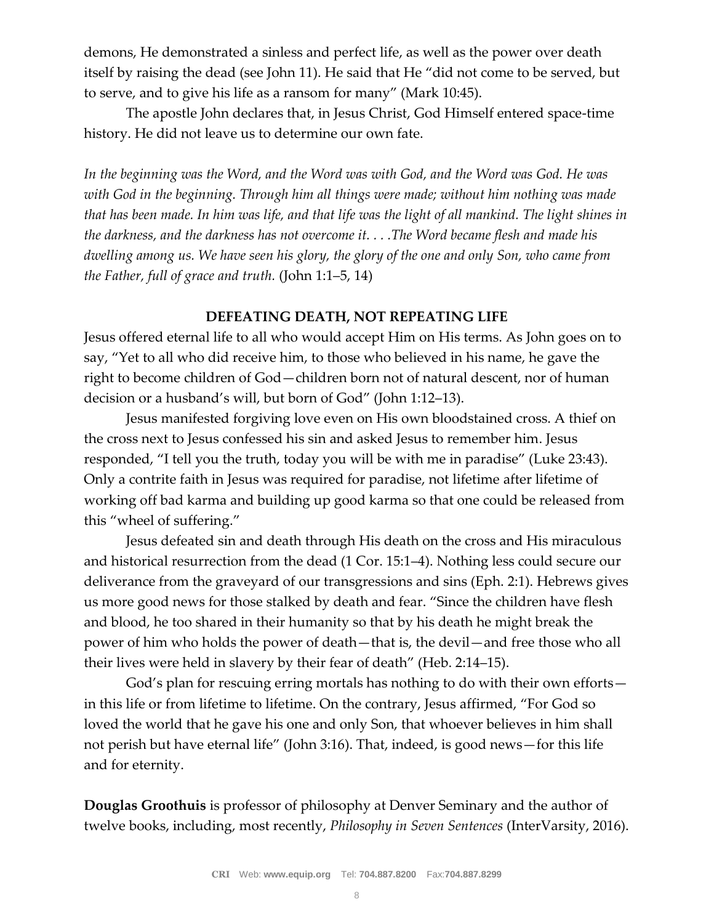demons, He demonstrated a sinless and perfect life, as well as the power over death itself by raising the dead (see John 11). He said that He "did not come to be served, but to serve, and to give his life as a ransom for many" (Mark 10:45).

The apostle John declares that, in Jesus Christ, God Himself entered space-time history. He did not leave us to determine our own fate.

*In the beginning was the Word, and the Word was with God, and the Word was God. He was with God in the beginning. Through him all things were made; without him nothing was made that has been made. In him was life, and that life was the light of all mankind. The light shines in the darkness, and the darkness has not overcome it. . . .The Word became flesh and made his dwelling among us. We have seen his glory, the glory of the one and only Son, who came from the Father, full of grace and truth.* (John 1:1–5, 14)

## **DEFEATING DEATH, NOT REPEATING LIFE**

Jesus offered eternal life to all who would accept Him on His terms. As John goes on to say, "Yet to all who did receive him, to those who believed in his name, he gave the right to become children of God—children born not of natural descent, nor of human decision or a husband's will, but born of God" (John 1:12–13).

Jesus manifested forgiving love even on His own bloodstained cross. A thief on the cross next to Jesus confessed his sin and asked Jesus to remember him. Jesus responded, "I tell you the truth, today you will be with me in paradise" (Luke 23:43). Only a contrite faith in Jesus was required for paradise, not lifetime after lifetime of working off bad karma and building up good karma so that one could be released from this "wheel of suffering."

Jesus defeated sin and death through His death on the cross and His miraculous and historical resurrection from the dead (1 Cor. 15:1–4). Nothing less could secure our deliverance from the graveyard of our transgressions and sins (Eph. 2:1). Hebrews gives us more good news for those stalked by death and fear. "Since the children have flesh and blood, he too shared in their humanity so that by his death he might break the power of him who holds the power of death—that is, the devil—and free those who all their lives were held in slavery by their fear of death" (Heb. 2:14–15).

God's plan for rescuing erring mortals has nothing to do with their own efforts in this life or from lifetime to lifetime. On the contrary, Jesus affirmed, "For God so loved the world that he gave his one and only Son, that whoever believes in him shall not perish but have eternal life" (John 3:16). That, indeed, is good news—for this life and for eternity.

**Douglas Groothuis** is professor of philosophy at Denver Seminary and the author of twelve books, including, most recently, *Philosophy in Seven Sentences* (InterVarsity, 2016).